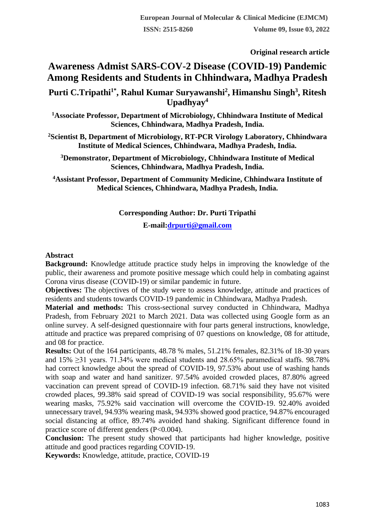**Original research article** 

# **Awareness Admist SARS-COV-2 Disease (COVID-19) Pandemic Among Residents and Students in Chhindwara, Madhya Pradesh**

**Purti C.Tripathi1\*, Rahul Kumar Suryawanshi<sup>2</sup> , Himanshu Singh<sup>3</sup> , Ritesh Upadhyay<sup>4</sup>**

**<sup>1</sup>Associate Professor, Department of Microbiology, Chhindwara Institute of Medical Sciences, Chhindwara, Madhya Pradesh, India.**

**<sup>2</sup>Scientist B, Department of Microbiology, RT-PCR Virology Laboratory, Chhindwara Institute of Medical Sciences, Chhindwara, Madhya Pradesh, India.**

**<sup>3</sup>Demonstrator, Department of Microbiology, Chhindwara Institute of Medical Sciences, Chhindwara, Madhya Pradesh, India.**

**<sup>4</sup>Assistant Professor, Department of Community Medicine, Chhindwara Institute of Medical Sciences, Chhindwara, Madhya Pradesh, India.**

#### **Corresponding Author: Dr. Purti Tripathi**

**E-mail[:drpurti@gmail.com](mailto:drpurti@gmail.com)**

#### **Abstract**

**Background:** Knowledge attitude practice study helps in improving the knowledge of the public, their awareness and promote positive message which could help in combating against Corona virus disease (COVID-19) or similar pandemic in future.

**Objectives:** The objectives of the study were to assess knowledge, attitude and practices of residents and students towards COVID-19 pandemic in Chhindwara, Madhya Pradesh.

**Material and methods:** This cross-sectional survey conducted in Chhindwara, Madhya Pradesh, from February 2021 to March 2021. Data was collected using Google form as an online survey. A self-designed questionnaire with four parts general instructions, knowledge, attitude and practice was prepared comprising of 07 questions on knowledge, 08 for attitude, and 08 for practice.

**Results:** Out of the 164 participants, 48.78 % males, 51.21% females, 82.31% of 18-30 years and 15% ≥31 years. 71.34% were medical students and 28.65% paramedical staffs. 98.78% had correct knowledge about the spread of COVID-19, 97.53% about use of washing hands with soap and water and hand sanitizer. 97.54% avoided crowded places, 87.80% agreed vaccination can prevent spread of COVID-19 infection. 68.71% said they have not visited crowded places, 99.38% said spread of COVID-19 was social responsibility, 95.67% were wearing masks, 75.92% said vaccination will overcome the COVID-19. 92.40% avoided unnecessary travel, 94.93% wearing mask, 94.93% showed good practice, 94.87% encouraged social distancing at office, 89.74% avoided hand shaking. Significant difference found in practice score of different genders (P<0.004).

**Conclusion:** The present study showed that participants had higher knowledge, positive attitude and good practices regarding COVID-19.

**Keywords:** Knowledge, attitude, practice, COVID-19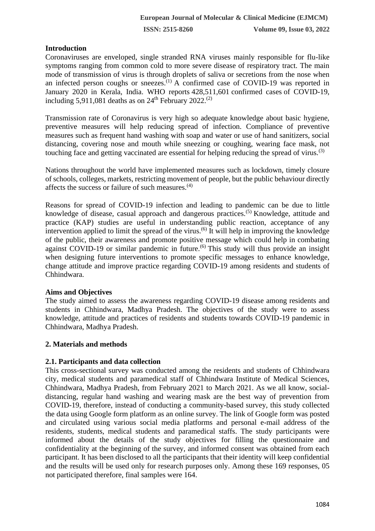## **Introduction**

Coronaviruses are enveloped, single stranded RNA viruses mainly responsible for flu-like symptoms ranging from common cold to more severe disease of respiratory tract. The main mode of transmission of virus is through droplets of saliva or secretions from the nose when an infected person coughs or sneezes.<sup> $(1)$ </sup> A confirmed case of COVID-19 was reported in January 2020 in Kerala, India. WHO reports 428,511,601 confirmed cases of COVID-19, including 5,911,081 deaths as on  $24<sup>th</sup>$  February 2022.<sup>(2)</sup>

Transmission rate of Coronavirus is very high so adequate knowledge about basic hygiene, preventive measures will help reducing spread of infection. Compliance of preventive measures such as frequent hand washing with soap and water or use of hand sanitizers, social distancing, covering nose and mouth while sneezing or coughing, wearing face mask, not touching face and getting vaccinated are essential for helping reducing the spread of virus.<sup>(3)</sup>

Nations throughout the world have implemented measures such as lockdown, timely closure of schools, colleges, markets, restricting movement of people, but the public behaviour directly affects the success or failure of such measures. $(4)$ 

Reasons for spread of COVID-19 infection and leading to pandemic can be due to little knowledge of disease, casual approach and dangerous practices.<sup>(5)</sup> Knowledge, attitude and practice (KAP) studies are useful in understanding public reaction, acceptance of any intervention applied to limit the spread of the virus.<sup> $(6)$ </sup> It will help in improving the knowledge of the public, their awareness and promote positive message which could help in combating against COVID-19 or similar pandemic in future.<sup> $(6)$ </sup> This study will thus provide an insight when designing future interventions to promote specific messages to enhance knowledge, change attitude and improve practice regarding COVID-19 among residents and students of Chhindwara.

### **Aims and Objectives**

The study aimed to assess the awareness regarding COVID-19 disease among residents and students in Chhindwara, Madhya Pradesh. The objectives of the study were to assess knowledge, attitude and practices of residents and students towards COVID-19 pandemic in Chhindwara, Madhya Pradesh.

# **2. Materials and methods**

# **2.1. Participants and data collection**

This cross-sectional survey was conducted among the residents and students of Chhindwara city, medical students and paramedical staff of Chhindwara Institute of Medical Sciences, Chhindwara, Madhya Pradesh, from February 2021 to March 2021. As we all know, socialdistancing, regular hand washing and wearing mask are the best way of prevention from COVID-19, therefore, instead of conducting a community-based survey, this study collected the data using Google form platform as an online survey. The link of Google form was posted and circulated using various social media platforms and personal e-mail address of the residents, students, medical students and paramedical staffs. The study participants were informed about the details of the study objectives for filling the questionnaire and confidentiality at the beginning of the survey, and informed consent was obtained from each participant. It has been disclosed to all the participants that their identity will keep confidential and the results will be used only for research purposes only. Among these 169 responses, 05 not participated therefore, final samples were 164.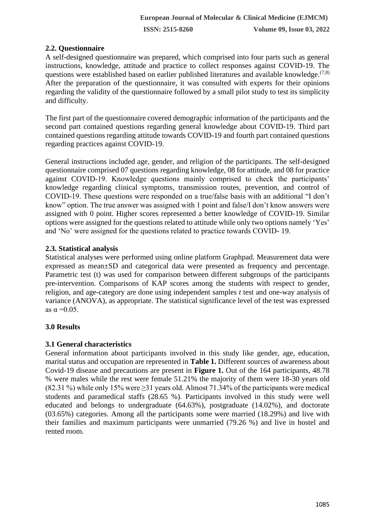## **2.2. Questionnaire**

A self-designed questionnaire was prepared, which comprised into four parts such as general instructions, knowledge, attitude and practice to collect responses against COVID-19. The questions were established based on earlier published literatures and available knowledge.<sup> $(7,8)$ </sup> After the preparation of the questionnaire, it was consulted with experts for their opinions regarding the validity of the questionnaire followed by a small pilot study to test its simplicity and difficulty.

The first part of the questionnaire covered demographic information of the participants and the second part contained questions regarding general knowledge about COVID-19. Third part contained questions regarding attitude towards COVID-19 and fourth part contained questions regarding practices against COVID-19.

General instructions included age, gender, and religion of the participants. The self-designed questionnaire comprised 07 questions regarding knowledge, 08 for attitude, and 08 for practice against COVID-19. Knowledge questions mainly comprised to check the participants' knowledge regarding clinical symptoms, transmission routes, prevention, and control of COVID-19. These questions were responded on a true/false basis with an additional "I don't know" option. The true answer was assigned with 1 point and false/I don't know answers were assigned with 0 point. Higher scores represented a better knowledge of COVID-19. Similar options were assigned for the questions related to attitude while only two options namely 'Yes' and 'No' were assigned for the questions related to practice towards COVID- 19.

## **2.3. Statistical analysis**

Statistical analyses were performed using online platform Graphpad. Measurement data were expressed as mean±SD and categorical data were presented as frequency and percentage. Parametric test (t) was used for comparison between different subgroups of the participants pre-intervention. Comparisons of KAP scores among the students with respect to gender, religion, and age-category are done using independent samples *t* test and one-way analysis of variance (ANOVA), as appropriate. The statistical significance level of the test was expressed as  $\alpha = 0.05$ .

# **3.0 Results**

# **3.1 General characteristics**

General information about participants involved in this study like gender, age, education, marital status and occupation are represented in **Table 1.** Different sources of awareness about Covid-19 disease and precautions are present in **Figure 1.** Out of the 164 participants, 48.78 % were males while the rest were female 51.21% the majority of them were 18-30 years old (82.31 %) while only 15% were  $\geq$ 31 years old. Almost 71.34% of the participants were medical students and paramedical staffs (28.65 %). Participants involved in this study were well educated and belongs to undergraduate (64.63%), postgraduate (14.02%), and doctorate (03.65%) categories. Among all the participants some were married (18.29%) and live with their families and maximum participants were unmarried (79.26 %) and live in hostel and rented room.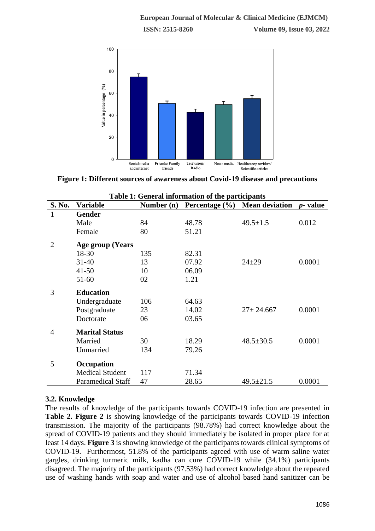

**Figure 1: Different sources of awareness about Covid-19 disease and precautions**

|                | <b>Table 1: General information of the participants</b> |              |                    |                       |                  |  |  |  |
|----------------|---------------------------------------------------------|--------------|--------------------|-----------------------|------------------|--|--|--|
| S. No.         | <b>Variable</b>                                         | Number $(n)$ | Percentage $(\% )$ | <b>Mean deviation</b> | <i>p</i> - value |  |  |  |
|                | <b>Gender</b>                                           |              |                    |                       |                  |  |  |  |
|                | Male                                                    | 84           | 48.78              | $49.5 \pm 1.5$        | 0.012            |  |  |  |
|                | Female                                                  | 80           | 51.21              |                       |                  |  |  |  |
| 2              | <b>Age group (Years</b>                                 |              |                    |                       |                  |  |  |  |
|                | 18-30                                                   | 135          | 82.31              |                       |                  |  |  |  |
|                | $31 - 40$                                               | 13           | 07.92              | $24 + 29$             | 0.0001           |  |  |  |
|                | $41 - 50$                                               | 10           | 06.09              |                       |                  |  |  |  |
|                | 51-60                                                   | 02           | 1.21               |                       |                  |  |  |  |
| 3              | <b>Education</b>                                        |              |                    |                       |                  |  |  |  |
|                | Undergraduate                                           | 106          | 64.63              |                       |                  |  |  |  |
|                | Postgraduate                                            | 23           | 14.02              | $27 \pm 24.667$       | 0.0001           |  |  |  |
|                | Doctorate                                               | 06           | 03.65              |                       |                  |  |  |  |
| $\overline{4}$ | <b>Marital Status</b>                                   |              |                    |                       |                  |  |  |  |
|                | Married                                                 | 30           | 18.29              | $48.5 \pm 30.5$       | 0.0001           |  |  |  |
|                | Unmarried                                               | 134          | 79.26              |                       |                  |  |  |  |
| 5              | Occupation                                              |              |                    |                       |                  |  |  |  |
|                | <b>Medical Student</b>                                  | 117          | 71.34              |                       |                  |  |  |  |
|                | <b>Paramedical Staff</b>                                | 47           | 28.65              | $49.5 \pm 21.5$       | 0.0001           |  |  |  |

| Table 1: General information of the participants |
|--------------------------------------------------|
|--------------------------------------------------|

### **3.2. Knowledge**

The results of knowledge of the participants towards COVID-19 infection are presented in **Table 2. Figure 2** is showing knowledge of the participants towards COVID-19 infection transmission. The majority of the participants (98.78%) had correct knowledge about the spread of COVID-19 patients and they should immediately be isolated in proper place for at least 14 days. **Figure 3** is showing knowledge of the participants towards clinical symptoms of COVID-19. Furthermost, 51.8% of the participants agreed with use of warm saline water gargles, drinking turmeric milk, kadha can cure COVID-19 while (34.1%) participants disagreed. The majority of the participants (97.53%) had correct knowledge about the repeated use of washing hands with soap and water and use of alcohol based hand sanitizer can be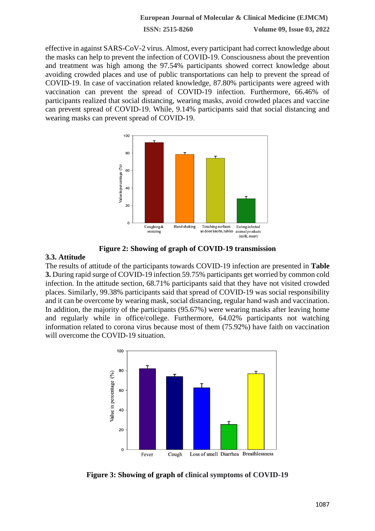effective in against SARS-CoV-2 virus. Almost, every participant had correct knowledge about the masks can help to prevent the infection of COVID-19. Consciousness about the prevention and treatment was high among the 97.54% participants showed correct knowledge about avoiding crowded places and use of public transportations can help to prevent the spread of COVID-19. In case of vaccination related knowledge, 87.80% participants were agreed with vaccination can prevent the spread of COVID-19 infection. Furthermore, 66.46% of participants realized that social distancing, wearing masks, avoid crowded places and vaccine can prevent spread of COVID-19. While, 9.14% participants said that social distancing and wearing masks can prevent spread of COVID-19.



**Figure 2: Showing of graph of COVID-19 transmission**

### **3.3. Attitude**

The results of attitude of the participants towards COVID-19 infection are presented in **Table 3.** During rapid surge of COVID-19 infection 59.75% participants get worried by common cold infection. In the attitude section, 68.71% participants said that they have not visited crowded places. Similarly, 99.38% participants said that spread of COVID-19 was social responsibility and it can be overcome by wearing mask, social distancing, regular hand wash and vaccination. In addition, the majority of the participants (95.67%) were wearing masks after leaving home and regularly while in office/college. Furthermore, 64.02% participants not watching information related to corona virus because most of them (75.92%) have faith on vaccination will overcome the COVID-19 situation.



**Figure 3: Showing of graph of clinical symptoms of COVID-19**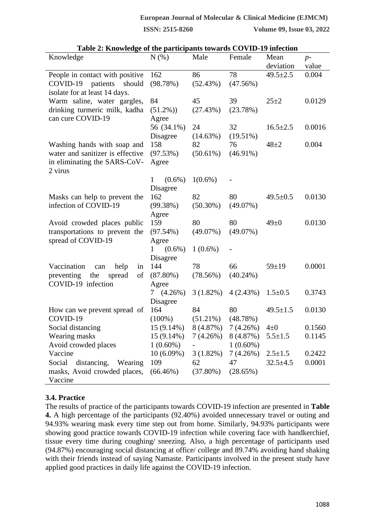| Knowledge                         | N(%)           | Male                | Female      | Mean           | $p-$   |
|-----------------------------------|----------------|---------------------|-------------|----------------|--------|
|                                   |                |                     |             | deviation      | value  |
| People in contact with positive   | 162            | 86                  | 78          | $49.5 \pm 2.5$ | 0.004  |
| COVID-19 patients should          | (98.78%)       | (52.43%)            | (47.56%)    |                |        |
| isolate for at least 14 days.     |                |                     |             |                |        |
| Warm saline, water gargles,       | 84             | 45                  | 39          | $25+2$         | 0.0129 |
| drinking turmeric milk, kadha     | $(51.2\%)$     | (27.43%)            | (23.78%)    |                |        |
| can cure COVID-19                 | Agree          |                     |             |                |        |
|                                   | 56 (34.1%)     | 24                  | 32          | $16.5 \pm 2.5$ | 0.0016 |
|                                   | Disagree       | (14.63%)            | $(19.51\%)$ |                |        |
| Washing hands with soap and       | 158            | 82                  | 76          | $48 + 2$       | 0.004  |
| water and sanitizer is effective  | (97.53%)       | $(50.61\%)$         | $(46.91\%)$ |                |        |
| in eliminating the SARS-CoV-      | Agree          |                     |             |                |        |
| 2 virus                           |                |                     |             |                |        |
|                                   | $(0.6\%)$<br>1 | $1(0.6\%)$          |             |                |        |
|                                   | Disagree       |                     |             |                |        |
| Masks can help to prevent the     | 162            | 82                  | 80          | $49.5 \pm 0.5$ | 0.0130 |
| infection of COVID-19             | (99.38%)       | $(50.30\%)$         | (49.07%)    |                |        |
|                                   | Agree          |                     |             |                |        |
| Avoid crowded places public       | 159            | 80                  | 80          | $49\pm0$       | 0.0130 |
| transportations to prevent the    | $(97.54\%)$    | (49.07%)            | (49.07%)    |                |        |
| spread of COVID-19                | Agree          |                     |             |                |        |
|                                   | $(0.6\%)$<br>1 | $1(0.6\%)$          |             |                |        |
|                                   | Disagree       |                     |             |                |        |
| Vaccination<br>help<br>in<br>can  | 144            | 78                  | 66          | $59 \pm 19$    | 0.0001 |
| preventing<br>the<br>spread<br>of | $(87.80\%)$    | (78.56%)            | $(40.24\%)$ |                |        |
| COVID-19 infection                | Agree          |                     |             |                |        |
|                                   | 7(4.26%)       | 3(1.82%)            | 4(2.43%)    | $1.5 \pm 0.5$  | 0.3743 |
|                                   | Disagree       |                     |             |                |        |
| How can we prevent spread of      | 164            | 84                  | 80          | $49.5 \pm 1.5$ | 0.0130 |
| COVID-19                          | $(100\%)$      | $(51.21\%)$         | (48.78%)    |                |        |
| Social distancing                 | 15 (9.14%)     | 8 (4.87%)           | 7(4.26%)    | $4\pm 0$       | 0.1560 |
| Wearing masks                     | $15(9.14\%)$   | $7(4.26%)$ 8(4.87%) |             | $5.5 \pm 1.5$  | 0.1145 |
| Avoid crowded places              | $1(0.60\%)$    |                     | $1(0.60\%)$ |                |        |
| Vaccine                           | $10(6.09\%)$   | 3(1.82%)            | 7(4.26%)    | $2.5 \pm 1.5$  | 0.2422 |
| Social<br>distancing, Wearing     | 109            | 62                  | 47          | $32.5 \pm 4.5$ | 0.0001 |
| masks, Avoid crowded places,      | $(66.46\%)$    | (37.80%)            | (28.65%)    |                |        |
| Vaccine                           |                |                     |             |                |        |

**Table 2: Knowledge of the participants towards COVID-19 infection**

#### **3.4. Practice**

The results of practice of the participants towards COVID-19 infection are presented in **Table 4.** A high percentage of the participants (92.40%) avoided unnecessary travel or outing and 94.93% wearing mask every time step out from home. Similarly, 94.93% participants were showing good practice towards COVID-19 infection while covering face with handkerchief, tissue every time during coughing/ sneezing. Also, a high percentage of participants used (94.87%) encouraging social distancing at office/ college and 89.74% avoiding hand shaking with their friends instead of saying Namaste. Participants involved in the present study have applied good practices in daily life against the COVID-19 infection.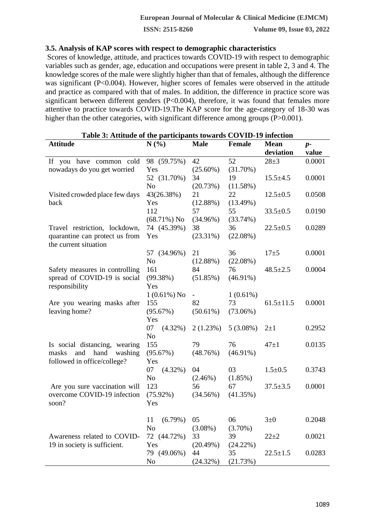#### **3.5. Analysis of KAP scores with respect to demographic characteristics**

Scores of knowledge, attitude, and practices towards COVID-19 with respect to demographic variables such as gender, age, education and occupations were present in table 2, 3 and 4. The knowledge scores of the male were slightly higher than that of females, although the difference was significant (P<0.004). However, higher scores of females were observed in the attitude and practice as compared with that of males. In addition, the difference in practice score was significant between different genders (P<0.004), therefore, it was found that females more attentive to practice towards COVID-19.The KAP score for the age-category of 18-30 was higher than the other categories, with significant difference among groups (P>0.001).

| Table 3: Attitude of the participants towards COVID-19 infection |                     |                |               |                 |        |
|------------------------------------------------------------------|---------------------|----------------|---------------|-----------------|--------|
| <b>Attitude</b>                                                  | N(%)                | <b>Male</b>    | <b>Female</b> | <b>Mean</b>     | $p-$   |
|                                                                  |                     |                |               | deviation       | value  |
| If you have common cold                                          | 98 (59.75%)         | 42             | 52            | $28 \pm 3$      | 0.0001 |
| nowadays do you get worried                                      | Yes                 | $(25.60\%)$    | (31.70%)      |                 |        |
|                                                                  | 52 (31.70%)         | 34             | 19            | $15.5 \pm 4.5$  | 0.0001 |
|                                                                  | N <sub>o</sub>      | (20.73%)       | (11.58%)      |                 |        |
| Visited crowded place few days                                   | 43(26.38%)          | 21             | 22            | $12.5 \pm 0.5$  | 0.0508 |
| back                                                             | Yes                 | (12.88%)       | (13.49%)      |                 |        |
|                                                                  | 112                 | 57             | 55            | $33.5 \pm 0.5$  | 0.0190 |
|                                                                  | $(68.71\%)$ No      | (34.96%)       | (33.74%)      |                 |        |
| Travel restriction, lockdown,                                    | 74 (45.39%)         | 38             | 36            | $22.5 \pm 0.5$  | 0.0289 |
| quarantine can protect us from<br>the current situation          | Yes                 | $(23.31\%)$    | $(22.08\%)$   |                 |        |
|                                                                  | 57 (34.96%)         | 21             | 36            | $17 + 5$        | 0.0001 |
|                                                                  | No                  | (12.88%)       | (22.08%)      |                 |        |
| Safety measures in controlling                                   | 161                 | 84             | 76            | $48.5 \pm 2.5$  | 0.0004 |
| spread of COVID-19 is social                                     | (99.38%)            | (51.85%)       | $(46.91\%)$   |                 |        |
| responsibility                                                   | Yes                 |                |               |                 |        |
|                                                                  | $1(0.61\%)$ No      | $\blacksquare$ | $1(0.61\%)$   |                 |        |
| Are you wearing masks after                                      | 155                 | 82             | 73            | $61.5 \pm 11.5$ | 0.0001 |
| leaving home?                                                    | (95.67%)            | $(50.61\%)$    | $(73.06\%)$   |                 |        |
|                                                                  | Yes                 |                |               |                 |        |
|                                                                  | 07<br>$(4.32\%)$    | 2(1.23%)       | $5(3.08\%)$   | $2\pm1$         | 0.2952 |
|                                                                  | N <sub>o</sub>      |                |               |                 |        |
| Is social distancing, wearing                                    | 155                 | 79             | 76            | $47\pm1$        | 0.0135 |
| hand<br>washing<br>masks<br>and                                  | (95.67%)            | (48.76%)       | $(46.91\%)$   |                 |        |
| followed in office/college?                                      | Yes                 |                |               |                 |        |
|                                                                  | 07<br>$(4.32\%)$    | 04             | 03            | $1.5 \pm 0.5$   | 0.3743 |
|                                                                  | N <sub>o</sub>      | $(2.46\%)$     | (1.85%)       |                 |        |
| Are you sure vaccination will                                    | 123                 | 56             | 67            | $37.5 \pm 3.5$  | 0.0001 |
| overcome COVID-19 infection                                      | $(75.92\%)$         | (34.56%)       | (41.35%)      |                 |        |
| soon?                                                            | Yes                 |                |               |                 |        |
|                                                                  |                     |                |               |                 |        |
|                                                                  | (6.79%)<br>11<br>No | 05             | 06            | $3\pm 0$        | 0.2048 |
|                                                                  |                     | $(3.08\%)$     | $(3.70\%)$    |                 |        |
| Awareness related to COVID-                                      | 72 (44.72%)         | 33             | 39            | $22 + 2$        | 0.0021 |
| 19 in society is sufficient.                                     | Yes                 | (20.49%)       | $(24.22\%)$   |                 |        |
|                                                                  | 79 (49.06%)         | 44             | 35            | $22.5 \pm 1.5$  | 0.0283 |
|                                                                  | No                  | (24.32%)       | (21.73%)      |                 |        |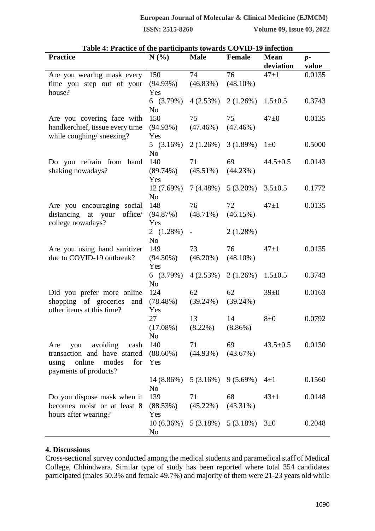| Table 4: Practice of the participants towards COVID-19 infection |                |                   |                         |                |        |  |  |
|------------------------------------------------------------------|----------------|-------------------|-------------------------|----------------|--------|--|--|
| <b>Practice</b>                                                  | N(%)           | <b>Male</b>       | <b>Female</b>           | <b>Mean</b>    | $p-$   |  |  |
|                                                                  |                |                   |                         | deviation      | value  |  |  |
| Are you wearing mask every                                       | 150            | 74                | 76                      | $47 + 1$       | 0.0135 |  |  |
| time you step out of your                                        | $(94.93\%)$    | (46.83%)          | $(48.10\%)$             |                |        |  |  |
| house?                                                           | Yes            |                   |                         |                |        |  |  |
|                                                                  | 6(3.79%)       | 4(2.53%)          | 2(1.26%)                | $1.5 \pm 0.5$  | 0.3743 |  |  |
|                                                                  | N <sub>o</sub> |                   |                         |                |        |  |  |
| Are you covering face with                                       | 150            | 75                | 75                      | $47\pm0$       | 0.0135 |  |  |
| handkerchief, tissue every time                                  | (94.93%)       | (47.46%)          | (47.46%)                |                |        |  |  |
| while coughing/ sneezing?                                        | Yes            |                   |                         |                |        |  |  |
|                                                                  | 5 $(3.16%)$    | 2(1.26%)          | 3(1.89%)                | $1\pm 0$       | 0.5000 |  |  |
|                                                                  | N <sub>o</sub> |                   |                         |                |        |  |  |
| Do you refrain from hand                                         | 140            | 71                | 69                      | $44.5 \pm 0.5$ | 0.0143 |  |  |
| shaking nowadays?                                                | $(89.74\%)$    | $(45.51\%)$       | (44.23%)                |                |        |  |  |
|                                                                  | Yes            |                   |                         |                |        |  |  |
|                                                                  | 12(7.69%)      | $7(4.48\%)$       | $5(3.20\%)$             | $3.5 \pm 0.5$  | 0.1772 |  |  |
|                                                                  | N <sub>o</sub> |                   |                         |                |        |  |  |
| Are you encouraging social                                       | 148            | 76                | 72                      | $47 + 1$       | 0.0135 |  |  |
| distancing at your<br>office/                                    | (94.87%)       | $(48.71\%)$       | (46.15%)                |                |        |  |  |
| college nowadays?                                                | Yes            |                   |                         |                |        |  |  |
|                                                                  | 2(1.28%)       | $\qquad \qquad -$ | 2(1.28%)                |                |        |  |  |
|                                                                  | N <sub>o</sub> |                   |                         |                |        |  |  |
| Are you using hand sanitizer                                     | 149            | 73                | 76                      | $47 + 1$       | 0.0135 |  |  |
| due to COVID-19 outbreak?                                        | $(94.30\%)$    | $(46.20\%)$       | $(48.10\%)$             |                |        |  |  |
|                                                                  | Yes            |                   |                         |                |        |  |  |
|                                                                  | 6(3.79%)       | 4(2.53%)          | 2(1.26%)                | $1.5 \pm 0.5$  | 0.3743 |  |  |
|                                                                  | No             |                   |                         |                |        |  |  |
| Did you prefer more online                                       | 124            | 62                | 62                      | $39 \pm 0$     | 0.0163 |  |  |
| shopping of groceries<br>and                                     | (78.48%)       | $(39.24\%)$       | $(39.24\%)$             |                |        |  |  |
| other items at this time?                                        | Yes            |                   |                         |                |        |  |  |
|                                                                  | 27             | 13                | 14                      | $8\pm0$        | 0.0792 |  |  |
|                                                                  | $(17.08\%)$    | $(8.22\%)$        | $(8.86\%)$              |                |        |  |  |
|                                                                  | No             |                   |                         |                |        |  |  |
| you avoiding<br>cash<br>Are                                      | 140            | 71                | 69                      | $43.5 \pm 0.5$ | 0.0130 |  |  |
| transaction and have started                                     | $(88.60\%)$    | $(44.93\%)$       | (43.67%)                |                |        |  |  |
| online<br>using<br>modes<br>for                                  | Yes            |                   |                         |                |        |  |  |
| payments of products?                                            |                |                   |                         |                |        |  |  |
|                                                                  | $14(8.86\%)$   | 5(3.16%)          | 9(5.69%)                | $4\pm1$        | 0.1560 |  |  |
|                                                                  | N <sub>o</sub> |                   |                         |                |        |  |  |
| Do you dispose mask when it                                      | 139            | 71                | 68                      | $43 \pm 1$     | 0.0148 |  |  |
| becomes moist or at least 8                                      |                |                   |                         |                |        |  |  |
|                                                                  | (88.53%)       | $(45.22\%)$       | $(43.31\%)$             |                |        |  |  |
| hours after wearing?                                             | Yes            |                   |                         |                |        |  |  |
|                                                                  | 10(6.36%)      |                   | $5(3.18\%)$ $5(3.18\%)$ | $3\pm0$        | 0.2048 |  |  |
|                                                                  | No             |                   |                         |                |        |  |  |

# **Table 4: Practice of the participants towards COVID-19 infection**

#### **4. Discussions**

Cross-sectional survey conducted among the medical students and paramedical staff of Medical College, Chhindwara. Similar type of study has been reported where total 354 candidates participated (males 50.3% and female 49.7%) and majority of them were 21-23 years old while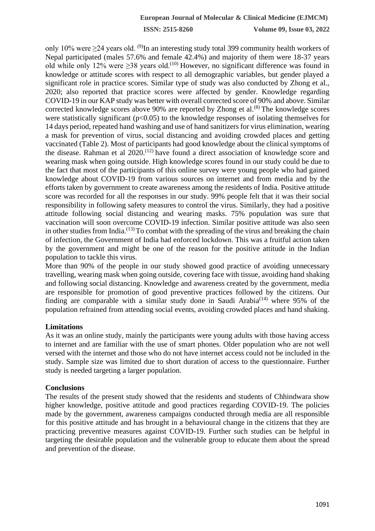only 10% were  $\geq$ 24 years old. <sup>(9)</sup>In an interesting study total 399 community health workers of Nepal participated (males 57.6% and female 42.4%) and majority of them were 18-37 years old while only 12% were  $\geq$ 38 years old.<sup>(10)</sup> However, no significant difference was found in knowledge or attitude scores with respect to all demographic variables, but gender played a significant role in practice scores. Similar type of study was also conducted by Zhong et al., 2020; also reported that practice scores were affected by gender. Knowledge regarding COVID-19 in our KAP study was better with overall corrected score of 90% and above. Similar corrected knowledge scores above 90% are reported by Zhong et al.<sup> $(8)$ </sup> The knowledge scores were statistically significant  $(p<0.05)$  to the knowledge responses of isolating themselves for 14 days period, repeated hand washing and use of hand sanitizers for virus elimination, wearing a mask for prevention of virus, social distancing and avoiding crowded places and getting vaccinated (Table 2). Most of participants had good knowledge about the clinical symptoms of the disease. Rahman et al  $2020$ .<sup>(12)</sup> have found a direct association of knowledge score and wearing mask when going outside. High knowledge scores found in our study could be due to the fact that most of the participants of this online survey were young people who had gained knowledge about COVID-19 from various sources on internet and from media and by the efforts taken by government to create awareness among the residents of India. Positive attitude score was recorded for all the responses in our study. 99% people felt that it was their social responsibility in following safety measures to control the virus. Similarly, they had a positive attitude following social distancing and wearing masks. 75% population was sure that vaccination will soon overcome COVID-19 infection. Similar positive attitude was also seen in other studies from India.<sup> $(13)$ </sup> To combat with the spreading of the virus and breaking the chain of infection, the Government of India had enforced lockdown. This was a fruitful action taken by the government and might be one of the reason for the positive attitude in the Indian population to tackle this virus.

More than 90% of the people in our study showed good practice of avoiding unnecessary travelling, wearing mask when going outside, covering face with tissue, avoiding hand shaking and following social distancing. Knowledge and awareness created by the government, media are responsible for promotion of good preventive practices followed by the citizens. Our finding are comparable with a similar study done in Saudi Arabia<sup>(14)</sup> where 95% of the population refrained from attending social events, avoiding crowded places and hand shaking.

### **Limitations**

As it was an online study, mainly the participants were young adults with those having access to internet and are familiar with the use of smart phones. Older population who are not well versed with the internet and those who do not have internet access could not be included in the study. Sample size was limited due to short duration of access to the questionnaire. Further study is needed targeting a larger population.

#### **Conclusions**

The results of the present study showed that the residents and students of Chhindwara show higher knowledge, positive attitude and good practices regarding COVID-19. The policies made by the government, awareness campaigns conducted through media are all responsible for this positive attitude and has brought in a behavioural change in the citizens that they are practicing preventive measures against COVID-19. Further such studies can be helpful in targeting the desirable population and the vulnerable group to educate them about the spread and prevention of the disease.